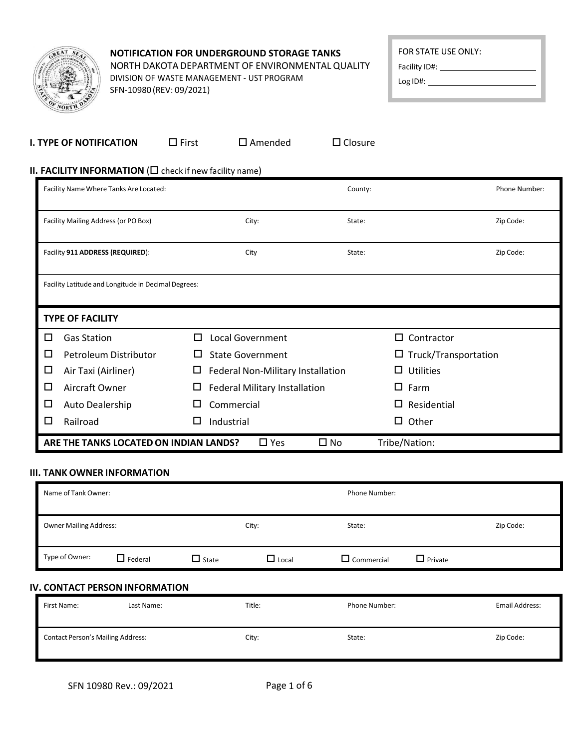| GREAT              | $s_{E_{A}}$ |
|--------------------|-------------|
|                    |             |
|                    |             |
| <b>AO</b><br>NORTH | ີ<br>$v^*$  |

# **NOTIFICATION FOR UNDERGROUND STORAGE TANKS** NORTH DAKOTA DEPARTMENT OF ENVIRONMENTAL QUALITY

DIVISION OF WASTE MANAGEMENT - UST PROGRAM SFN-10980 (REV: 09/2021)

 $\overline{\phantom{0}}$ 

Facility ID#:

Log ID#:

| <b>I. TYPE OF NOTIFICATION</b>                                                 | $\Box$ First | $\square$ Amended | $\Box$ Closure |
|--------------------------------------------------------------------------------|--------------|-------------------|----------------|
| <b>II. FACILITY INFORMATION (<math>\Box</math></b> check if new facility name) |              |                   |                |

|        | Facility Name Where Tanks Are Located:              |   |                                      |              | County: |                             | Phone Number: |  |
|--------|-----------------------------------------------------|---|--------------------------------------|--------------|---------|-----------------------------|---------------|--|
|        | Facility Mailing Address (or PO Box)                |   | City:                                |              | State:  |                             | Zip Code:     |  |
|        | Facility 911 ADDRESS (REQUIRED):                    |   | City                                 |              | State:  |                             | Zip Code:     |  |
|        | Facility Latitude and Longitude in Decimal Degrees: |   |                                      |              |         |                             |               |  |
|        | <b>TYPE OF FACILITY</b>                             |   |                                      |              |         |                             |               |  |
| □      | <b>Gas Station</b>                                  | П | Local Government                     |              |         | Contractor<br>П             |               |  |
| $\Box$ | Petroleum Distributor                               | ப | <b>State Government</b>              |              |         | $\Box$ Truck/Transportation |               |  |
| $\Box$ | Air Taxi (Airliner)                                 | ш | Federal Non-Military Installation    |              |         | <b>Utilities</b><br>П       |               |  |
| $\Box$ | Aircraft Owner                                      | Ц | <b>Federal Military Installation</b> |              |         | Farm<br>□                   |               |  |
| $\Box$ | Auto Dealership                                     |   | Commercial                           |              |         | Residential<br>□            |               |  |
| □      | Railroad                                            | ப | Industrial                           |              |         | Other<br>□                  |               |  |
|        | ARE THE TANKS LOCATED ON INDIAN LANDS?              |   | $\Box$ Yes                           | $\square$ No |         | Tribe/Nation:               |               |  |

#### **III. TANK OWNER INFORMATION**

| Name of Tank Owner:                    |                |              | <b>Phone Number:</b> |                   |                |           |
|----------------------------------------|----------------|--------------|----------------------|-------------------|----------------|-----------|
| <b>Owner Mailing Address:</b><br>City: |                |              |                      | State:            |                | Zip Code: |
| Type of Owner:                         | $\Box$ Federal | $\Box$ State | $\Box$ Local         | $\Box$ Commercial | $\Box$ Private |           |

#### **IV. CONTACT PERSON INFORMATION**

| First Name:                              | Last Name: | Title: | <b>Phone Number:</b> | Email Address: |
|------------------------------------------|------------|--------|----------------------|----------------|
| <b>Contact Person's Mailing Address:</b> |            | City:  | State:               | Zip Code:      |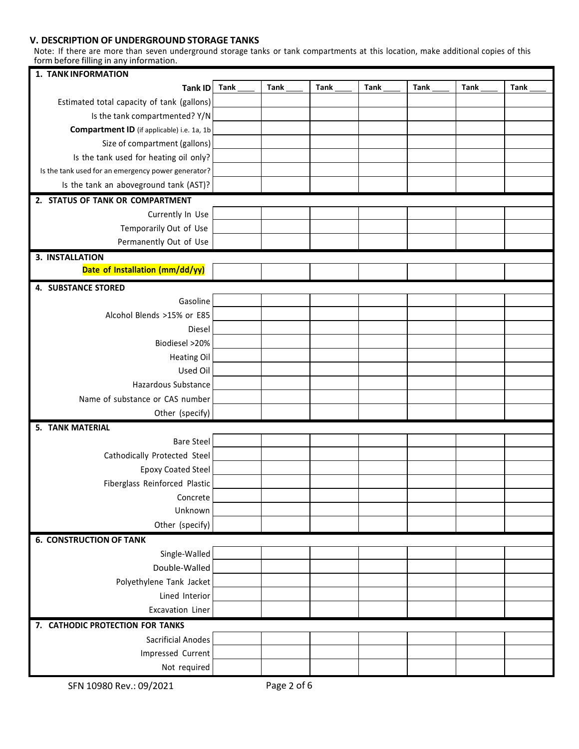#### **V. DESCRIPTION OF UNDERGROUND STORAGE TANKS**

Note: If there are more than seven underground storage tanks or tank compartments at this location, make additional copies of this form before filling in any information.

| 1. TANK INFORMATION                                |             |             |      |      |      |      |      |
|----------------------------------------------------|-------------|-------------|------|------|------|------|------|
| <b>Tank ID</b>                                     | <b>Tank</b> | <b>Tank</b> | Tank | Tank | Tank | Tank | Tank |
| Estimated total capacity of tank (gallons)         |             |             |      |      |      |      |      |
| Is the tank compartmented? Y/N                     |             |             |      |      |      |      |      |
| Compartment ID (if applicable) i.e. 1a, 1b         |             |             |      |      |      |      |      |
| Size of compartment (gallons)                      |             |             |      |      |      |      |      |
| Is the tank used for heating oil only?             |             |             |      |      |      |      |      |
| Is the tank used for an emergency power generator? |             |             |      |      |      |      |      |
| Is the tank an aboveground tank (AST)?             |             |             |      |      |      |      |      |
| 2. STATUS OF TANK OR COMPARTMENT                   |             |             |      |      |      |      |      |
| Currently In Use                                   |             |             |      |      |      |      |      |
| Temporarily Out of Use                             |             |             |      |      |      |      |      |
| Permanently Out of Use                             |             |             |      |      |      |      |      |
| 3. INSTALLATION                                    |             |             |      |      |      |      |      |
| Date of Installation (mm/dd/yy)                    |             |             |      |      |      |      |      |
| <b>4. SUBSTANCE STORED</b>                         |             |             |      |      |      |      |      |
| Gasoline                                           |             |             |      |      |      |      |      |
| Alcohol Blends >15% or E85                         |             |             |      |      |      |      |      |
| Diesel                                             |             |             |      |      |      |      |      |
| Biodiesel >20%                                     |             |             |      |      |      |      |      |
| <b>Heating Oil</b>                                 |             |             |      |      |      |      |      |
| Used Oil                                           |             |             |      |      |      |      |      |
| Hazardous Substance                                |             |             |      |      |      |      |      |
| Name of substance or CAS number                    |             |             |      |      |      |      |      |
| Other (specify)                                    |             |             |      |      |      |      |      |
| <b>5. TANK MATERIAL</b>                            |             |             |      |      |      |      |      |
| <b>Bare Steel</b>                                  |             |             |      |      |      |      |      |
| Cathodically Protected Steel                       |             |             |      |      |      |      |      |
| <b>Epoxy Coated Steel</b>                          |             |             |      |      |      |      |      |
| Fiberglass Reinforced Plastic                      |             |             |      |      |      |      |      |
| Concrete                                           |             |             |      |      |      |      |      |
| Unknown                                            |             |             |      |      |      |      |      |
| Other (specify)                                    |             |             |      |      |      |      |      |
| <b>6. CONSTRUCTION OF TANK</b>                     |             |             |      |      |      |      |      |
| Single-Walled                                      |             |             |      |      |      |      |      |
| Double-Walled                                      |             |             |      |      |      |      |      |
| Polyethylene Tank Jacket                           |             |             |      |      |      |      |      |
| Lined Interior                                     |             |             |      |      |      |      |      |
| Excavation Liner                                   |             |             |      |      |      |      |      |
| 7. CATHODIC PROTECTION FOR TANKS                   |             |             |      |      |      |      |      |
| <b>Sacrificial Anodes</b>                          |             |             |      |      |      |      |      |
| Impressed Current                                  |             |             |      |      |      |      |      |
| Not required                                       |             |             |      |      |      |      |      |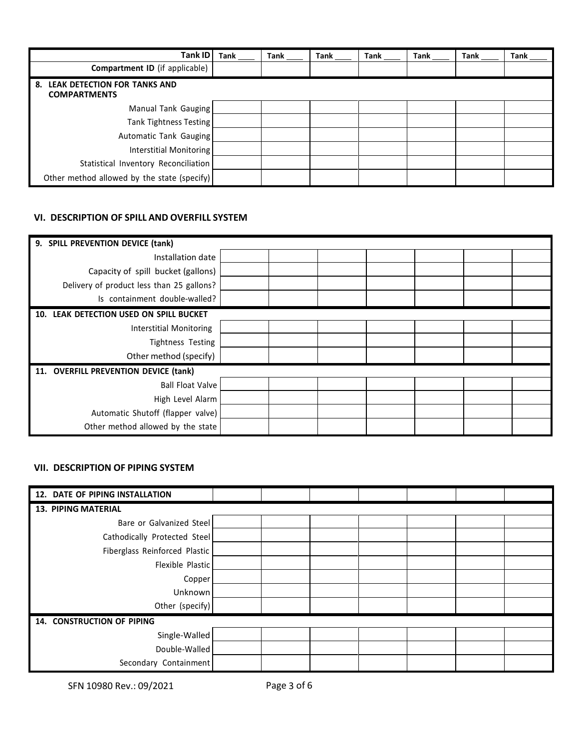| <b>Tank ID</b>                                            | <b>Tank</b> | Tank | <b>Tank</b> | Tank | <b>Tank</b> | Tank | Tank |
|-----------------------------------------------------------|-------------|------|-------------|------|-------------|------|------|
| Compartment ID (if applicable)                            |             |      |             |      |             |      |      |
| LEAK DETECTION FOR TANKS AND<br>8.<br><b>COMPARTMENTS</b> |             |      |             |      |             |      |      |
| Manual Tank Gauging                                       |             |      |             |      |             |      |      |
| Tank Tightness Testing                                    |             |      |             |      |             |      |      |
| Automatic Tank Gauging                                    |             |      |             |      |             |      |      |
| Interstitial Monitoring                                   |             |      |             |      |             |      |      |
| Statistical Inventory Reconciliation                      |             |      |             |      |             |      |      |
| Other method allowed by the state (specify)               |             |      |             |      |             |      |      |

## **VI. DESCRIPTION OF SPILL AND OVERFILL SYSTEM**

| 9. SPILL PREVENTION DEVICE (tank)         |  |  |  |  |
|-------------------------------------------|--|--|--|--|
| Installation date                         |  |  |  |  |
| Capacity of spill bucket (gallons)        |  |  |  |  |
| Delivery of product less than 25 gallons? |  |  |  |  |
| Is containment double-walled?             |  |  |  |  |
| 10. LEAK DETECTION USED ON SPILL BUCKET   |  |  |  |  |
| <b>Interstitial Monitoring</b>            |  |  |  |  |
| Tightness Testing                         |  |  |  |  |
| Other method (specify)                    |  |  |  |  |
| 11. OVERFILL PREVENTION DEVICE (tank)     |  |  |  |  |
| <b>Ball Float Valve</b>                   |  |  |  |  |
| High Level Alarm                          |  |  |  |  |
| Automatic Shutoff (flapper valve)         |  |  |  |  |
| Other method allowed by the state         |  |  |  |  |

## **VII. DESCRIPTION OF PIPING SYSTEM**

| 12. DATE OF PIPING INSTALLATION |  |  |  |  |  |  |  |  |  |  |
|---------------------------------|--|--|--|--|--|--|--|--|--|--|
| <b>13. PIPING MATERIAL</b>      |  |  |  |  |  |  |  |  |  |  |
| Bare or Galvanized Steel        |  |  |  |  |  |  |  |  |  |  |
| Cathodically Protected Steel    |  |  |  |  |  |  |  |  |  |  |
| Fiberglass Reinforced Plastic   |  |  |  |  |  |  |  |  |  |  |
| Flexible Plastic                |  |  |  |  |  |  |  |  |  |  |
| Copper                          |  |  |  |  |  |  |  |  |  |  |
| Unknown                         |  |  |  |  |  |  |  |  |  |  |
| Other (specify)                 |  |  |  |  |  |  |  |  |  |  |
| 14. CONSTRUCTION OF PIPING      |  |  |  |  |  |  |  |  |  |  |
| Single-Walled                   |  |  |  |  |  |  |  |  |  |  |
| Double-Walled                   |  |  |  |  |  |  |  |  |  |  |
| Secondary Containment           |  |  |  |  |  |  |  |  |  |  |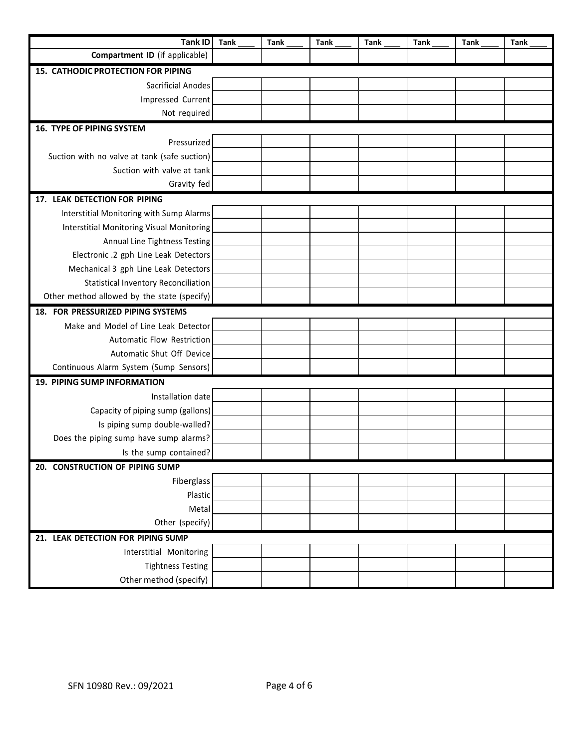| <b>Tank ID</b>                                   | <b>Tank</b> | <b>Tank</b> | <b>Tank</b> | <b>Tank</b> | <b>Tank</b> | <b>Tank</b> | <b>Tank</b> |
|--------------------------------------------------|-------------|-------------|-------------|-------------|-------------|-------------|-------------|
| Compartment ID (if applicable)                   |             |             |             |             |             |             |             |
| <b>15. CATHODIC PROTECTION FOR PIPING</b>        |             |             |             |             |             |             |             |
| <b>Sacrificial Anodes</b>                        |             |             |             |             |             |             |             |
| Impressed Current                                |             |             |             |             |             |             |             |
| Not required                                     |             |             |             |             |             |             |             |
| <b>16. TYPE OF PIPING SYSTEM</b>                 |             |             |             |             |             |             |             |
| Pressurized                                      |             |             |             |             |             |             |             |
| Suction with no valve at tank (safe suction)     |             |             |             |             |             |             |             |
| Suction with valve at tank                       |             |             |             |             |             |             |             |
| Gravity fed                                      |             |             |             |             |             |             |             |
| 17. LEAK DETECTION FOR PIPING                    |             |             |             |             |             |             |             |
| Interstitial Monitoring with Sump Alarms         |             |             |             |             |             |             |             |
| <b>Interstitial Monitoring Visual Monitoring</b> |             |             |             |             |             |             |             |
| Annual Line Tightness Testing                    |             |             |             |             |             |             |             |
| Electronic .2 gph Line Leak Detectors            |             |             |             |             |             |             |             |
| Mechanical 3 gph Line Leak Detectors             |             |             |             |             |             |             |             |
| <b>Statistical Inventory Reconciliation</b>      |             |             |             |             |             |             |             |
| Other method allowed by the state (specify)      |             |             |             |             |             |             |             |
| 18. FOR PRESSURIZED PIPING SYSTEMS               |             |             |             |             |             |             |             |
| Make and Model of Line Leak Detector             |             |             |             |             |             |             |             |
| Automatic Flow Restriction                       |             |             |             |             |             |             |             |
| Automatic Shut Off Device                        |             |             |             |             |             |             |             |
| Continuous Alarm System (Sump Sensors)           |             |             |             |             |             |             |             |
| 19. PIPING SUMP INFORMATION                      |             |             |             |             |             |             |             |
| Installation date                                |             |             |             |             |             |             |             |
| Capacity of piping sump (gallons)                |             |             |             |             |             |             |             |
| Is piping sump double-walled?                    |             |             |             |             |             |             |             |
| Does the piping sump have sump alarms?           |             |             |             |             |             |             |             |
| Is the sump contained?                           |             |             |             |             |             |             |             |
| 20. CONSTRUCTION OF PIPING SUMP                  |             |             |             |             |             |             |             |
| Fiberglass                                       |             |             |             |             |             |             |             |
| Plastic                                          |             |             |             |             |             |             |             |
| Metal                                            |             |             |             |             |             |             |             |
| Other (specify)                                  |             |             |             |             |             |             |             |
| 21. LEAK DETECTION FOR PIPING SUMP               |             |             |             |             |             |             |             |
| Interstitial Monitoring                          |             |             |             |             |             |             |             |
| <b>Tightness Testing</b>                         |             |             |             |             |             |             |             |
| Other method (specify)                           |             |             |             |             |             |             |             |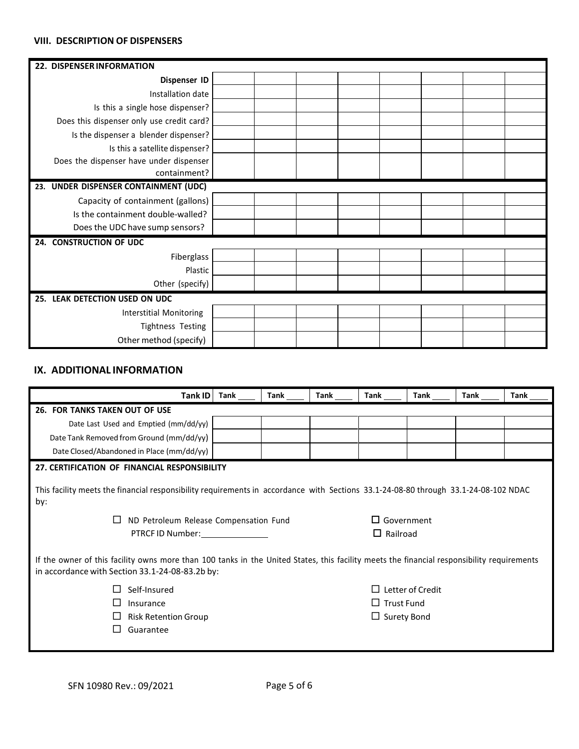#### **VIII. DESCRIPTION OF DISPENSERS**

| 22. DISPENSER INFORMATION                 |  |  |  |  |
|-------------------------------------------|--|--|--|--|
| Dispenser ID                              |  |  |  |  |
| Installation date                         |  |  |  |  |
| Is this a single hose dispenser?          |  |  |  |  |
| Does this dispenser only use credit card? |  |  |  |  |
| Is the dispenser a blender dispenser?     |  |  |  |  |
| Is this a satellite dispenser?            |  |  |  |  |
| Does the dispenser have under dispenser   |  |  |  |  |
| containment?                              |  |  |  |  |
| 23. UNDER DISPENSER CONTAINMENT (UDC)     |  |  |  |  |
| Capacity of containment (gallons)         |  |  |  |  |
| Is the containment double-walled?         |  |  |  |  |
| Does the UDC have sump sensors?           |  |  |  |  |
| 24. CONSTRUCTION OF UDC                   |  |  |  |  |
| Fiberglass                                |  |  |  |  |
| Plastic                                   |  |  |  |  |
| Other (specify)                           |  |  |  |  |
| 25. LEAK DETECTION USED ON UDC            |  |  |  |  |
| <b>Interstitial Monitoring</b>            |  |  |  |  |
| Tightness Testing                         |  |  |  |  |
| Other method (specify)                    |  |  |  |  |

## **IX. ADDITIONAL INFORMATION**

| Tank ID                                                                                                                                                                                                                                                                                   | Tank | Tank | Tank | Tank | Tank | Tank | Tank |
|-------------------------------------------------------------------------------------------------------------------------------------------------------------------------------------------------------------------------------------------------------------------------------------------|------|------|------|------|------|------|------|
| <b>26. FOR TANKS TAKEN OUT OF USE</b>                                                                                                                                                                                                                                                     |      |      |      |      |      |      |      |
| Date Last Used and Emptied (mm/dd/yy)                                                                                                                                                                                                                                                     |      |      |      |      |      |      |      |
| Date Tank Removed from Ground (mm/dd/yy)                                                                                                                                                                                                                                                  |      |      |      |      |      |      |      |
| Date Closed/Abandoned in Place (mm/dd/yy)                                                                                                                                                                                                                                                 |      |      |      |      |      |      |      |
| 27. CERTIFICATION OF FINANCIAL RESPONSIBILITY                                                                                                                                                                                                                                             |      |      |      |      |      |      |      |
| This facility meets the financial responsibility requirements in accordance with Sections 33.1-24-08-80 through 33.1-24-08-102 NDAC<br>by:<br>$\Box$ Government<br>ND Petroleum Release Compensation Fund<br>$\Box$<br>PTRCF ID Number:<br>$\Box$ Railroad                                |      |      |      |      |      |      |      |
| If the owner of this facility owns more than 100 tanks in the United States, this facility meets the financial responsibility requirements<br>in accordance with Section 33.1-24-08-83.2b by:<br>Letter of Credit<br>Self-Insured<br>$\Box$ Trust Fund<br>Insurance<br>$\Box$ Surety Bond |      |      |      |      |      |      |      |
| <b>Risk Retention Group</b><br>Guarantee                                                                                                                                                                                                                                                  |      |      |      |      |      |      |      |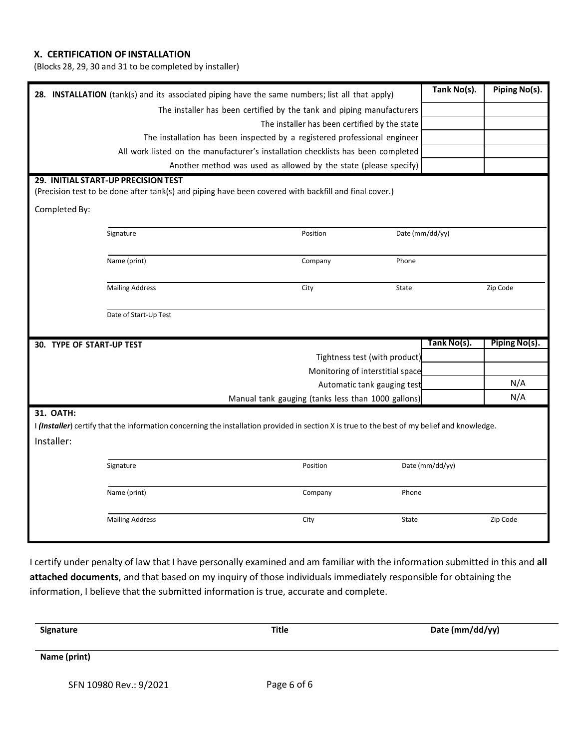## **X. CERTIFICATION OF INSTALLATION**

(Blocks 28, 29, 30 and 31 to be completed by installer)

| 28. INSTALLATION (tank(s) and its associated piping have the same numbers; list all that apply) |                                                                                  |                                                                                                                                              |                 | Piping No(s). |
|-------------------------------------------------------------------------------------------------|----------------------------------------------------------------------------------|----------------------------------------------------------------------------------------------------------------------------------------------|-----------------|---------------|
| The installer has been certified by the tank and piping manufacturers                           |                                                                                  |                                                                                                                                              |                 |               |
|                                                                                                 | The installer has been certified by the state                                    |                                                                                                                                              |                 |               |
|                                                                                                 | The installation has been inspected by a registered professional engineer        |                                                                                                                                              |                 |               |
|                                                                                                 | All work listed on the manufacturer's installation checklists has been completed |                                                                                                                                              |                 |               |
|                                                                                                 | Another method was used as allowed by the state (please specify)                 |                                                                                                                                              |                 |               |
|                                                                                                 | 29. INITIAL START-UP PRECISION TEST                                              |                                                                                                                                              |                 |               |
|                                                                                                 |                                                                                  | (Precision test to be done after tank(s) and piping have been covered with backfill and final cover.)                                        |                 |               |
| Completed By:                                                                                   |                                                                                  |                                                                                                                                              |                 |               |
|                                                                                                 | Signature                                                                        | Position                                                                                                                                     | Date (mm/dd/yy) |               |
|                                                                                                 |                                                                                  |                                                                                                                                              |                 |               |
|                                                                                                 | Name (print)                                                                     | Phone<br>Company                                                                                                                             |                 |               |
|                                                                                                 |                                                                                  |                                                                                                                                              |                 |               |
|                                                                                                 | <b>Mailing Address</b>                                                           | City<br><b>State</b>                                                                                                                         |                 | Zip Code      |
|                                                                                                 |                                                                                  |                                                                                                                                              |                 |               |
|                                                                                                 |                                                                                  |                                                                                                                                              |                 |               |
|                                                                                                 | Date of Start-Up Test                                                            |                                                                                                                                              |                 |               |
|                                                                                                 |                                                                                  |                                                                                                                                              |                 |               |
| <b>30. TYPE OF START-UP TEST</b>                                                                |                                                                                  |                                                                                                                                              | Tank No(s).     | Piping No(s). |
|                                                                                                 |                                                                                  | Tightness test (with product)                                                                                                                |                 |               |
|                                                                                                 |                                                                                  | Monitoring of interstitial space                                                                                                             |                 |               |
|                                                                                                 |                                                                                  | Automatic tank gauging test                                                                                                                  |                 | N/A           |
|                                                                                                 |                                                                                  | Manual tank gauging (tanks less than 1000 gallons)                                                                                           |                 | N/A           |
| 31. OATH:                                                                                       |                                                                                  |                                                                                                                                              |                 |               |
|                                                                                                 |                                                                                  | I (Installer) certify that the information concerning the installation provided in section X is true to the best of my belief and knowledge. |                 |               |
| Installer:                                                                                      |                                                                                  |                                                                                                                                              |                 |               |
|                                                                                                 |                                                                                  |                                                                                                                                              |                 |               |
|                                                                                                 | Signature                                                                        | Position                                                                                                                                     | Date (mm/dd/yy) |               |
|                                                                                                 |                                                                                  |                                                                                                                                              |                 |               |
|                                                                                                 | Name (print)                                                                     | Company<br>Phone                                                                                                                             |                 |               |
|                                                                                                 |                                                                                  | City<br>State                                                                                                                                |                 | Zip Code      |
|                                                                                                 | <b>Mailing Address</b>                                                           |                                                                                                                                              |                 |               |

I certify under penalty of law that I have personally examined and am familiar with the information submitted in this and **all attached documents**, and that based on my inquiry of those individuals immediately responsible for obtaining the information, I believe that the submitted information is true, accurate and complete.

| Signature              | <b>Title</b> | Date (mm/dd/yy) |  |  |
|------------------------|--------------|-----------------|--|--|
| Name (print)           |              |                 |  |  |
| SFN 10980 Rev.: 9/2021 | Page 6 of 6  |                 |  |  |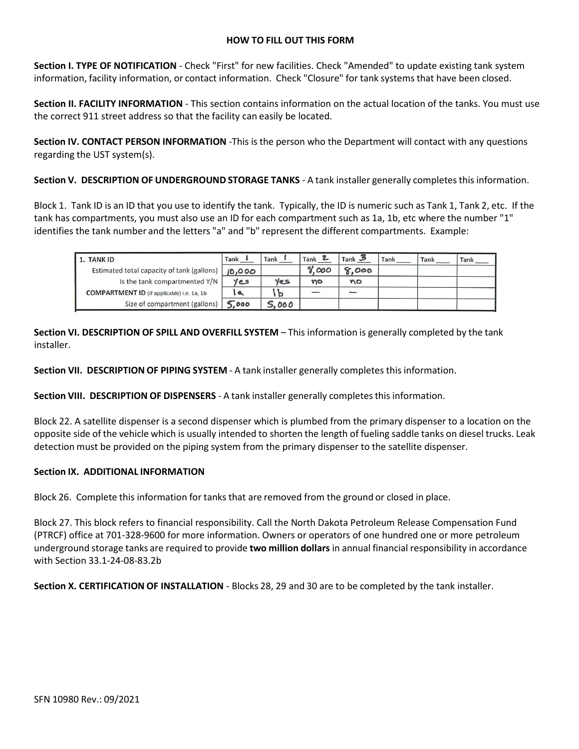#### **HOW TO FILL OUT THIS FORM**

**Section I. TYPE OF NOTIFICATION** - Check "First" for new facilities. Check "Amended" to update existing tank system information, facility information, or contact information. Check "Closure" for tank systems that have been closed.

**Section II. FACILITY INFORMATION** - This section contains information on the actual location of the tanks. You must use the correct 911 street address so that the facility can easily be located.

**Section IV. CONTACT PERSON INFORMATION** -This is the person who the Department will contact with any questions regarding the UST system(s).

**Section V. DESCRIPTION OF UNDERGROUND STORAGE TANKS** - A tank installer generally completesthis information.

Block 1. Tank ID is an ID that you use to identify the tank. Typically, the ID is numeric such as Tank 1, Tank 2, etc. If the tank has compartments, you must also use an ID for each compartment such as 1a, 1b, etc where the number "1" identifies the tank number and the letters "a" and "b" represent the different compartments. Example:

| 1. TANK ID                                        | Tank   | Tank  | Tank  | $Tank$ 3 | Tank | Tank | Tank |
|---------------------------------------------------|--------|-------|-------|----------|------|------|------|
| Estimated total capacity of tank (gallons)        | 10,000 |       | 9.000 | 8,000    |      |      |      |
| Is the tank compartmented Y/N                     | yes    | yes   | no    | no       |      |      |      |
| <b>COMPARTMENT ID</b> (if applicable) i.e. 1a, 1b |        | D     |       |          |      |      |      |
| Size of compartment (gallons)                     | 5.000  | 5.000 |       |          |      |      |      |

**Section VI. DESCRIPTION OF SPILL AND OVERFILL SYSTEM** – This information is generally completed by the tank installer.

**Section VII. DESCRIPTION OF PIPING SYSTEM** - A tank installer generally completes this information.

**Section VIII. DESCRIPTION OF DISPENSERS** - A tank installer generally completesthis information.

Block 22. A satellite dispenser is a second dispenser which is plumbed from the primary dispenser to a location on the opposite side of the vehicle which is usually intended to shorten the length of fueling saddle tanks on diesel trucks. Leak detection must be provided on the piping system from the primary dispenser to the satellite dispenser.

#### **Section IX. ADDITIONAL INFORMATION**

Block 26. Complete this information for tanks that are removed from the ground or closed in place.

Block 27. This block refers to financial responsibility. Call the North Dakota Petroleum Release Compensation Fund (PTRCF) office at 701-328-9600 for more information. Owners or operators of one hundred one or more petroleum underground storage tanks are required to provide **two million dollars** in annual financial responsibility in accordance with Section 33.1-24-08-83.2b

**Section X. CERTIFICATION OF INSTALLATION** - Blocks 28, 29 and 30 are to be completed by the tank installer.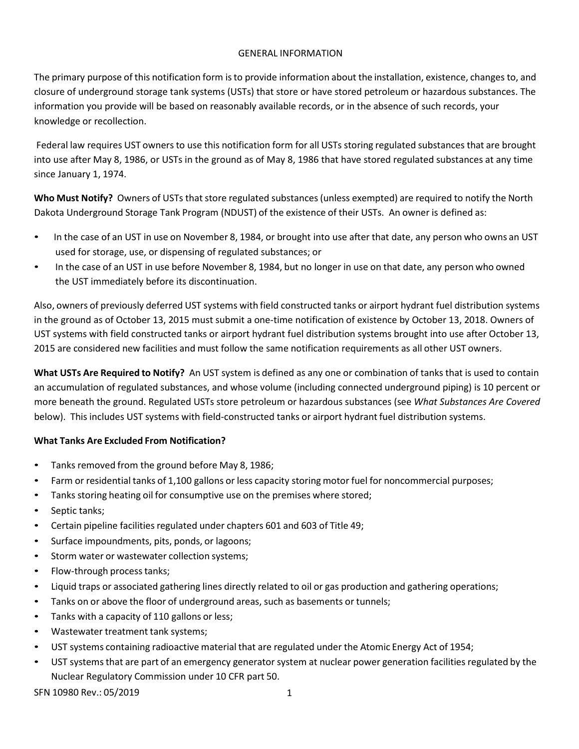## GENERAL INFORMATION

The primary purpose of this notification form isto provide information about the installation, existence, changes to, and closure of underground storage tank systems (USTs) that store or have stored petroleum or hazardous substances. The information you provide will be based on reasonably available records, or in the absence of such records, your knowledge or recollection.

Federal law requires UST owners to use this notification form for all USTs storing regulated substances that are brought into use after May 8, 1986, or USTs in the ground as of May 8, 1986 that have stored regulated substances at any time since January 1, 1974.

**Who Must Notify?** Owners of USTs that store regulated substances(unless exempted) are required to notify the North Dakota Underground Storage Tank Program (NDUST) of the existence of their USTs. An owner is defined as:

- In the case of an UST in use on November 8, 1984, or brought into use after that date, any person who owns an UST used for storage, use, or dispensing of regulated substances; or
- In the case of an UST in use before November 8, 1984, but no longer in use on that date, any person who owned the UST immediately before its discontinuation.

Also, owners of previously deferred UST systems with field constructed tanks or airport hydrant fuel distribution systems in the ground as of October 13, 2015 must submit a one-time notification of existence by October 13, 2018. Owners of UST systems with field constructed tanks or airport hydrant fuel distribution systems brought into use after October 13, 2015 are considered new facilities and must follow the same notification requirements as all other UST owners.

**What USTs Are Required to Notify?** An UST system is defined as any one or combination of tanks that is used to contain an accumulation of regulated substances, and whose volume (including connected underground piping) is 10 percent or more beneath the ground. Regulated USTs store petroleum or hazardous substances (see *What Substances Are Covered* below). This includes UST systems with field-constructed tanks or airport hydrant fuel distribution systems.

## **What Tanks Are Excluded From Notification?**

- Tanks removed from the ground before May 8, 1986;
- Farm or residential tanks of 1,100 gallons or less capacity storing motor fuel for noncommercial purposes;
- Tanks storing heating oil for consumptive use on the premises where stored;
- Septic tanks;
- Certain pipeline facilities regulated under chapters 601 and 603 of Title 49;
- Surface impoundments, pits, ponds, or lagoons;
- Storm water or wastewater collection systems;
- Flow-through process tanks;
- Liquid traps or associated gathering lines directly related to oil or gas production and gathering operations;
- Tanks on or above the floor of underground areas, such as basements or tunnels;
- Tanks with a capacity of 110 gallons or less;
- Wastewater treatment tank systems;
- UST systems containing radioactive material that are regulated under the Atomic Energy Act of 1954;
- UST systems that are part of an emergency generator system at nuclear power generation facilities regulated by the Nuclear Regulatory Commission under 10 CFR part 50.

SFN 10980 Rev.: 05/2019 1